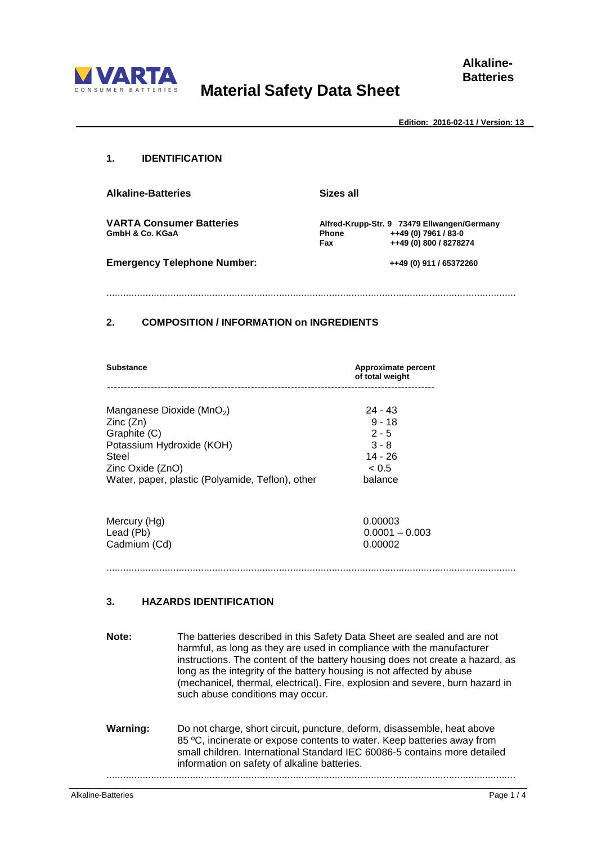

# **Material Safety Data Sheet**

**Alkaline-Batteries**

**Edition: 2016-02-11 / Version: 13**

#### **1. IDENTIFICATION**

**Alkaline-Batteries Sizes all VARTA Consumer Batteries Alfred-Krupp-Str. 9 73479 Ellwangen/Germany GmbH & Co. KGaA Phone ++49 (0) 7961 / 83-0 Emergency Telephone Number: ++49 (0) 911 / 65372260** 

 **Fax ++49 (0) 800 / 8278274**

...................................................................................................................................................

### **2. COMPOSITION / INFORMATION on INGREDIENTS**

| Substance | Approximate percent<br>of total weight |
|-----------|----------------------------------------|
|           |                                        |

Manganese Dioxide (MnO<sub>2</sub>) 24 - 43<br>Zinc (Zn) 3 - 18  $Zinc(Zn)$ Graphite (C) 2 - 5 Potassium Hydroxide (KOH) 3 - 8 Steel 14 - 26 Zinc Oxide (ZnO) < 0.5 Water, paper, plastic (Polyamide, Teflon), other balance

Mercury (Hg) 0.00003 Lead (Pb) 0.0001 – 0.003<br>Cadmium (Cd) 0.00002 Cadmium (Cd)

...................................................................................................................................................

# **3. HAZARDS IDENTIFICATION**

**Note:** The batteries described in this Safety Data Sheet are sealed and are not harmful, as long as they are used in compliance with the manufacturer instructions. The content of the battery housing does not create a hazard, as long as the integrity of the battery housing is not affected by abuse (mechanicel, thermal, electrical). Fire, explosion and severe, burn hazard in such abuse conditions may occur. **Warning:** Do not charge, short circuit, puncture, deform, disassemble, heat above 85 ºC, incinerate or expose contents to water. Keep batteries away from small children. International Standard IEC 60086-5 contains more detailed information on safety of alkaline batteries. ...................................................................................................................................................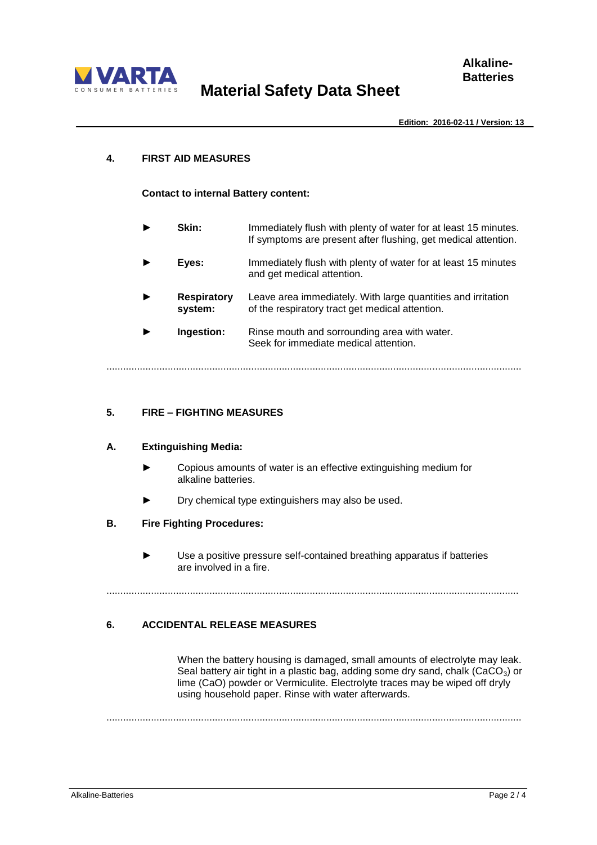

**Edition: 2016-02-11 / Version: 13**

## **4. FIRST AID MEASURES**

## **Contact to internal Battery content:**

|   | Skin:                         | Immediately flush with plenty of water for at least 15 minutes.<br>If symptoms are present after flushing, get medical attention. |
|---|-------------------------------|-----------------------------------------------------------------------------------------------------------------------------------|
|   | Eyes:                         | Immediately flush with plenty of water for at least 15 minutes<br>and get medical attention.                                      |
| ▶ | <b>Respiratory</b><br>system: | Leave area immediately. With large quantities and irritation<br>of the respiratory tract get medical attention.                   |
|   | Ingestion:                    | Rinse mouth and sorrounding area with water.<br>Seek for immediate medical attention.                                             |
|   |                               |                                                                                                                                   |

# **5. FIRE – FIGHTING MEASURES**

## **A. Extinguishing Media:**

- **►** Copious amounts of water is an effective extinguishing medium for alkaline batteries.
- **►** Dry chemical type extinguishers may also be used.

## **B. Fire Fighting Procedures:**

Use a positive pressure self-contained breathing apparatus if batteries are involved in a fire.

....................................................................................................................................................

# **6. ACCIDENTAL RELEASE MEASURES**

When the battery housing is damaged, small amounts of electrolyte may leak. Seal battery air tight in a plastic bag, adding some dry sand, chalk (CaCO<sub>3</sub>) or lime (CaO) powder or Vermiculite. Electrolyte traces may be wiped off dryly using household paper. Rinse with water afterwards.

.....................................................................................................................................................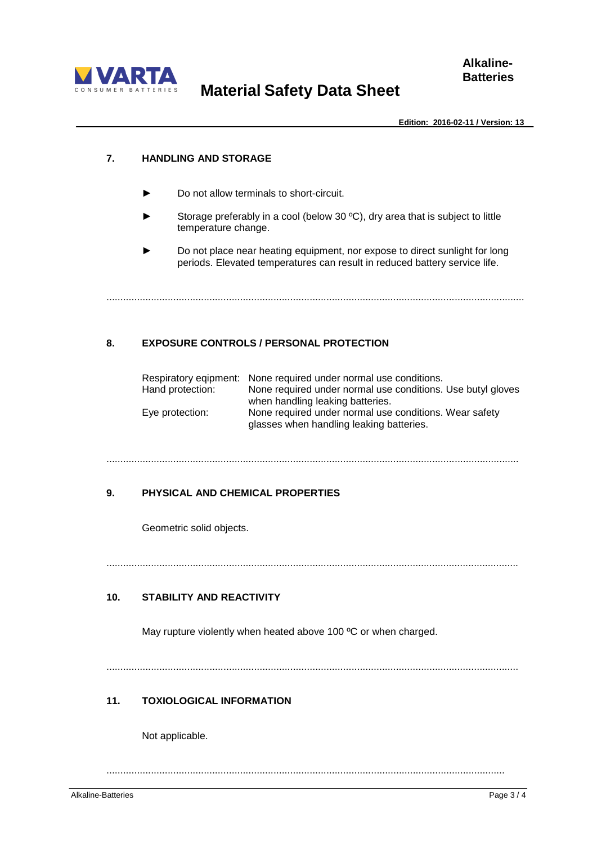

**Edition: 2016-02-11 / Version: 13**

## **7. HANDLING AND STORAGE**

- **►** Do not allow terminals to short-circuit.
- Storage preferably in a cool (below 30 °C), dry area that is subject to little temperature change.
- Do not place near heating equipment, nor expose to direct sunlight for long periods. Elevated temperatures can result in reduced battery service life.

......................................................................................................................................................

# **8. EXPOSURE CONTROLS / PERSONAL PROTECTION**

|                  | Respiratory eqipment: None required under normal use conditions. |
|------------------|------------------------------------------------------------------|
| Hand protection: | None required under normal use conditions. Use butyl gloves      |
|                  | when handling leaking batteries.                                 |
| Eye protection:  | None required under normal use conditions. Wear safety           |
|                  | glasses when handling leaking batteries.                         |

#### ....................................................................................................................................................

## **9. PHYSICAL AND CHEMICAL PROPERTIES**

Geometric solid objects.

....................................................................................................................................................

# **10. STABILITY AND REACTIVITY**

May rupture violently when heated above 100 °C or when charged.

....................................................................................................................................................

# **11. TOXIOLOGICAL INFORMATION**

Not applicable.

...............................................................................................................................................